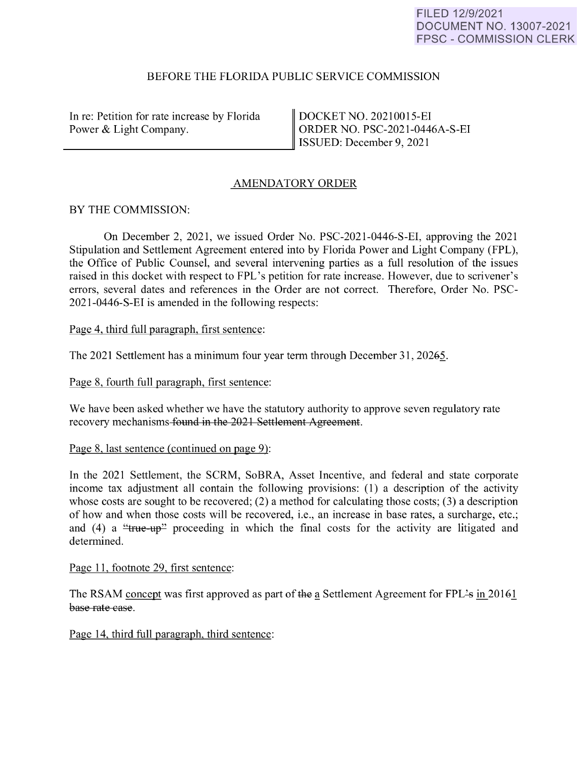#### FILED 12/9/2021 DOCUMENT NO. 13007-2021 FPSC - COMMISSION CLERK

### BEFORE THE FLORIDA PUBLIC SERVICE COMMISSION

In re: Petition for rate increase by Florida Power & Light Company. Power & Light Company.

DOCKET NO. 20210015-EI ORDER NO. PSC-2021-0446A-S-EI ISSUED: December 9, 2021

# AMENDATORY ORDER

# BY THE COMMISSION:

On December 2, 2021 , we issued Order No. PSC-2021-0446-S-EI, approving the 2021 Stipulation and Settlement Agreement entered into by Florida Power and Light Company (FPL), the Office of Public Counsel, and several intervening parties as a full resolution of the issues raised in this docket with respect to FPL's petition for rate increase. However, due to scrivener's errors, several dates and references in the Order are not correct. Therefore, Order No. PSC-2021-0446-S-EI is amended in the following respects:

Page 4, third full paragraph, first sentence:

The 2021 Settlement has a minimum four year term through December 31, 20265.

Page 8, fourth full paragraph, first sentence:

We have been asked whether we have the statutory authority to approve seven regulatory rate recovery mechanisms found in the 2021 Settlement Agreement.

Page 8, last sentence (continued on page 9):

In the 2021 Settlement, the SCRM, SoBRA, Asset Incentive, and federal and state corporate income tax adjustment all contain the following provisions: (1) a description of the activity whose costs are sought to be recovered; (2) a method for calculating those costs; (3) a description of how and when those costs will be recovered, i.e., an increase in base rates, a surcharge, etc.; and (4) a " $true-up$ " proceeding in which the final costs for the activity are litigated and determined.

Page 11, footnote 29, first sentence:

The RSAM concept was first approved as part of the a Settlement Agreement for FPL's in 20161 base rate case.

Page 14, third full paragraph, third sentence: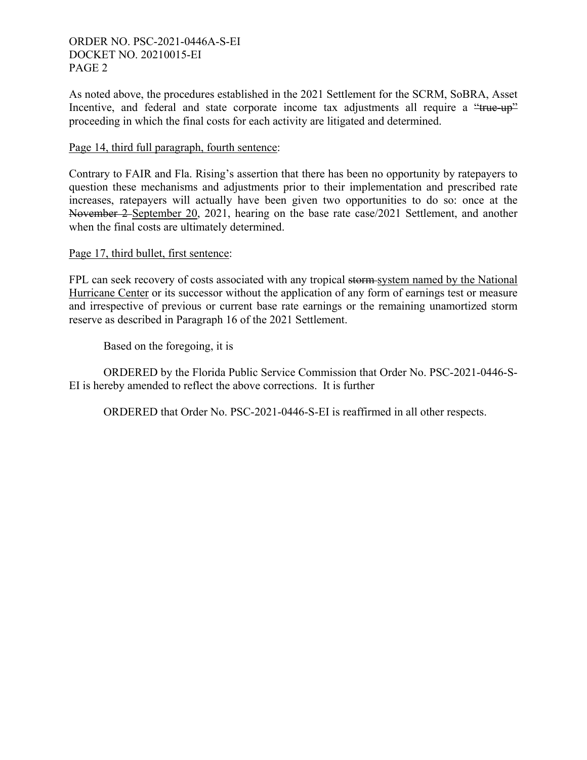### ORDER NO. PSC-2021-0446A-S-EI DOCKET NO. 20210015-EI PAGE 2

As noted above, the procedures established in the 2021 Settlement for the SCRM, SoBRA, Asset Incentive, and federal and state corporate income tax adjustments all require a "true-up" proceeding in which the final costs for each activity are litigated and determined.

# Page 14, third full paragraph, fourth sentence:

Contrary to FAIR and Fla. Rising's assertion that there has been no opportunity by ratepayers to question these mechanisms and adjustments prior to their implementation and prescribed rate increases, ratepayers will actually have been given two opportunities to do so: once at the November 2 September 20, 2021, hearing on the base rate case/2021 Settlement, and another when the final costs are ultimately determined.

### Page 17, third bullet, first sentence:

FPL can seek recovery of costs associated with any tropical storm system named by the National Hurricane Center or its successor without the application of any form of earnings test or measure and irrespective of previous or current base rate earnings or the remaining unamortized storm reserve as described in Paragraph 16 of the 2021 Settlement.

Based on the foregoing, it is

 ORDERED by the Florida Public Service Commission that Order No. PSC-2021-0446-S-EI is hereby amended to reflect the above corrections. It is further

ORDERED that Order No. PSC-2021-0446-S-EI is reaffirmed in all other respects.